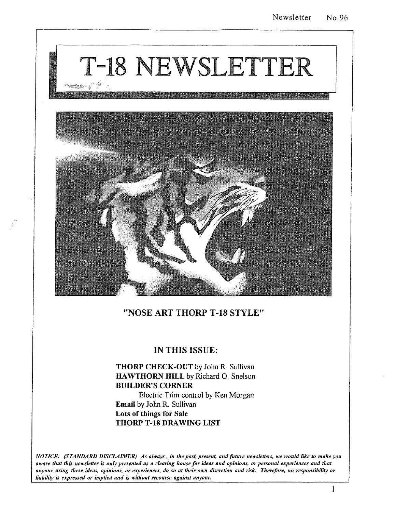# T-18 NEWSLETTER reams d



### "NOSE ART THORP T-18 STYLE"

### IN THIS ISSUE:

## THORP CHECK-OUT by John R. Sullivan HAWTHORN HILL by Richard O. Snelson BUILDER'S CORNER

Electric Trim control by Ken Morgan Email by John R. Sullivan Lots of things for Sale THORP T-18 DRAWING LIST

*NOTICE: (STANDARD DISCLAIMER) As always. in the past, present, and future newsletters, we would like to make you aware that this newsletter is only presented as a clearing house for ideas and opinions, or personal experiences and that anyone using these ideas, opinions, or experiences, do so at their own discretion and risk. Therefore, no responsibility or liability is expressed or implied and is without recourse against anyone.*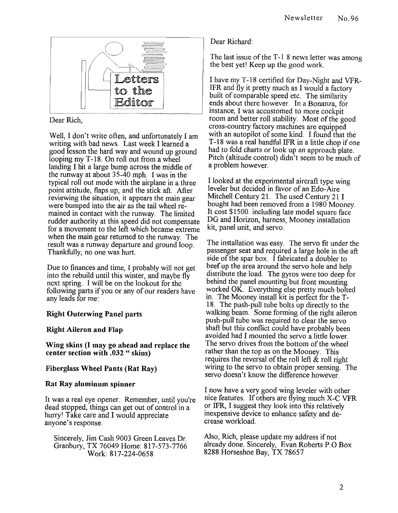

Dear Rich,

Well, I don't write often, and unfortunately I am writing with bad news. Last week I learned a good lesson the hard way and wound up ground looping my T-18. On roll out from a wheel landing I hit a large bump across the middle of the runway at about 35~40 mph. I was in the typical roll out mode with the airplane in a three point attitude, flaps up, and the stick aft. After reviewing the situation, it appears the main gear were bumped into the air as the tail wheel remained in contact with the runway. The limited rudder authority at this speed did not compensate for a movement to the left which became extreme when the main gear returned to the runway. The result was a runway departure and ground loop. Thankfully, no one was hurt.

Due to finances and time, I probably will not get into the rebuild until this winter, and maybe fly next spring. I will be on the lookout for the following parts if you or any of our readers have any leads for me:

#### **Right Outerwing Panel parts**

#### **Right Aileron and Flap**

**Wing skins (I may go ahead and replace the center section with .032 " skins)** 

#### **Fiberglass Wheel Pants (Rat Ray)**

#### **Rat Ray aluminum spinner**

It was a real eye opener. Remember, until you're dead stopped, things can get out of control in a hurry! Take care and I would appreciate anyone's response.

Sincerely, Jim Cash 9003 Green Leaves Dr. Granbury, TX 76049 Home: 817-573-7766 Work: 817-224-0658

Dear Richard:

The last issue of the T-1 8 news letter was among the best yet! Keep up the good work.

I have my T -18 certified for Day-Night and VFR-IFR and fly it pretty much as I would a factory built of comparable speed etc. The similarity ends about there however. In a Bonanza, for mstance, I was accustomed to more cockpit room and better roll stability. Most of the good cross-country factory machines are equipped with an autopilot of some kind. I found that the T-18 was a real handful IFR in a little chop if one had to fold charts or look up an approach plate. Pitch (altitude control) didn't seem to be much of a problem however.

I looked at the experimental aircraft type wing leveler but decided in favor of an Edo-Aire Mitchell Century 21. The used Century 21 I bought had been removed from a 1980 Mooney. It cost \$1500. including late model square face DG and Horizon, harness, Mooney installation kit, panel unit, and servo.

The installation was easy. The servo fit under the passenger seat and required a large hole in the aft side of the spar box. I fabricated a doubler to beef up the area around the servo hole and help distribute the load. The gyros were too deep for behind the panel mounting but front mounting worked OK. Everything else pretty much bolted m. The Mooney install kit is perfect for the T-18. The push-pull tube bolts up directly to the walking beam. Some forming of the right aileron push-pull tube was required to clear the servo shaft but this conflict could have probably been aVOIded had I mounted the servo a little lower. The servo drives from the bottom of the wheel rather than the top as on the Mooney. This requires the reversal of the roll left  $\&$  roll right wiring to the servo to obtain proper sensing. The servo doesn't know the difference however.

I now have a very good wing leveler with other nice features. If others are flying much X-C VFR or IFR, I suggest they look into this relatively inexpensive device to enhance safety and decrease workload.

Also, Rich, please update my address if not already done. Sincerely, Evan Roberts P.O Box 8288 Horseshoe Bay, TX 78657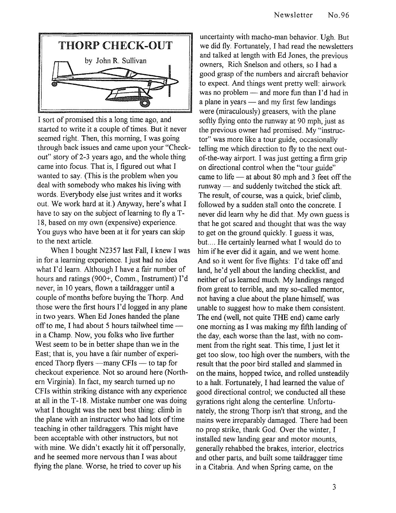

I sort of promised this a long time ago, and started to write it a couple of times. But it never seemed right. Then, this morning, I was going through back issues and came upon your "Checkout" story of2-3 years ago, and the whole thing came into focus. That is, I figured out what I wanted to say. (This is the problem when you deal with somebody who makes his living with words. Everybody else just writes and it works out. We work hard at it.) Anyway, here's what I have to say on the subject of learning to fly a T-18, based on my own (expensive) experience. You guys who have been at it for years can skip to the next article.

When I bought N2357 last Fall, I knew I was in for a learning experience. I just had no idea what I'd learn. Although I have a fair number of hours and ratings (900+, Comm., Instrument) I'd never, in 10 years, flown a taildragger until a couple of months before buying the Thorp. And those were the first hours I'd logged in any plane in two years. When Ed Jones handed the plane off to me, I had about 5 hours tailwheel time in a Champ. Now, you folks who live further West seem to be in better shape than we in the East; that is, you have a fair number of experienced Thorp flyers  $-$ many CFIs  $-$  to tap for checkout experience. Not so around here (Northern Virginia). In fact, my search turned up no CFIs within striking distance with any experience at all in the T -18. Mistake number one was doing what I thought was the next best thing: climb in the plane with an instructor who had lots of time teaching in other taildraggers. This might have been acceptable with other instructors, but not with mine. We didn't exactly hit it off personally, and he seemed more nervous than I was about flying the plane. Worse, he tried to cover up his

uncertainty with macho-man behavior. Ugh. But we did fly. Fortunately, I had read the newsletters and talked at length with Ed Jones, the previous owners, Rich Snelson and others, so I had a good grasp of the numbers and aircraft behavior to expect. And things went pretty well: airwork was no problem - and more fun than I'd had in a plane in years — and my first few landings were (miraculously) greasers, with the plane softly flying onto the runway at 90 mph, just as the previous owner had promised. My "instructor" was more like a tour guide, occasionally telling me which direction to fly to the next outof-the-way airport. I was just getting a firm grip on directional control when the "tour guide" came to life - at about 80 mph and 3 feet off the  $runway$  - and suddenly twitched the stick aft. The result, of course, was a quick, brief climb, followed by a sudden stall onto the concrete. I never did learn why he did that. My own guess is that he got scared and thought that was the way to get on the ground quickly. I guess it was, but.... He certainly learned what I would do to him if he ever did it again, and we went home. And so it went for five flights: I'd take off and land, he'd yell about the landing checklist, and neither of us learned much. My landings ranged from great to terrible, and my so-called mentor, not having a clue about the plane himself, was unable to suggest how to make them consistent. The end (well, not quite THE end) came early one morning as I was making my fifth landing of the day, each worse than the last, with no comment from the right seat. This time, I just let it get too slow, too high over the numbers, with the result that the poor bird stalled and slammed in on the mains, hopped twice, and rolled unsteadily to a halt. Fortunately, I had learned the value of good directional control; we conducted all these gyrations right along the centerline. Unfortunately, the strong Thorp isn't that strong, and the mains were irreparably damaged. There had been no prop strike, thank God. Over the winter, I installed new landing gear and motor mounts, generally rehabbed the brakes, interior, electrics and other parts, and built some taildragger time in a Citabria. And when Spring came, on the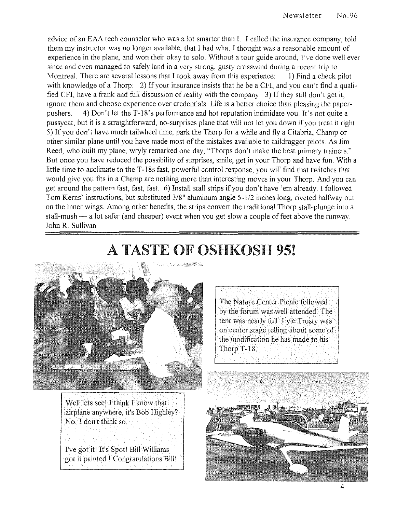advice of an EAA tech counselor who was a lot smarter than 1. I called the insurance company, told them my instructor was no longer available, that I had what I thought was a reasonable amount of experience in the plane, and won their okay to solo. Without a tour guide around, I've done well ever since and even managed to safely land in a very strong, gusty crosswind during a recent trip to Montreal. There are several lessons that I took away from this experience: 1) Find a check pilot with knowledge of a Thorp: 2) If your insurance insists that he be a CFI, and you can't find a qualified CFI, have a frank and full discussion of reality with the company 3) If they still don't get it, ignore them and choose experience over credentials. Life is a better choice than pleasing the paperpushers. 4) Don't let the T-18's performance and hot reputation intimidate you. It's not quite a pussycat, but it is a straightforward, no-surprises plane that will not let you down if you treat it right. 5) If you don't have much tailwheel time, park the Thorp for a while and fly a Citabria, Champ or other similar plane until you have made most of the mistakes available to taildragger pilots. As Jim Reed, who built my plane, wryly remarked one day, "Thorps don't make the best primary trainers." But once you have reduced the possibility of surprises, smile, get in your Thorp and have fun. With a little time to acclimate to the T-18s fast, powerful control response, you will find that twitches that would give you fits in a Champ are nothing more than interesting moves in your Thorp. And you can get around the pattern fast, fast, fast. 6) Install stall strips if you don't have 'em already. I followed Tom Kerns' instructions, but substituted 3/8" aluminum angle 5-1/2 inches long, riveted halfway out on the inner wings. Among other benefits, the strips convert the traditional Thorp stall-plunge into a stall-mush  $-$  a lot safer (and cheaper) event when you get slow a couple of feet above the runway. John R. Sullivan

# **A TASTE OF OSHKOSH 95!**



The Nature Center Picnic followed by the forum was well attended. The tent was nearly full. Lyle Trusty was on center stage telling about some of the modification he has made to his Thorp T-18.

Well lets seel I think I know that airplane anywhere, it's Bob Highley? No, I don't think so.

I've got itl It's Spot! Bill Williams got it painted I Congratulations Billl

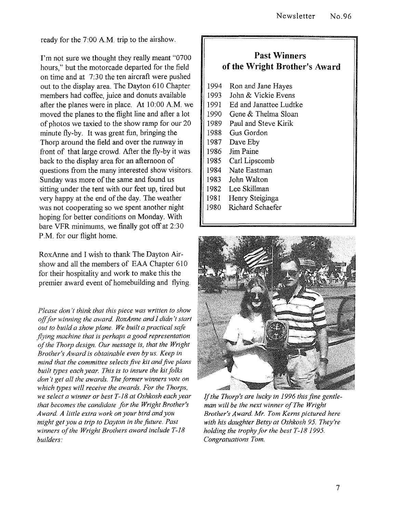ready for the 7:00 A.M. trip to the airshow.

I'm not sure we thought they really meant "0700 hours," but the motorcade departed for the field on time and at 7:30 the ten aircraft were pushed out to the display area. The Dayton 610 Chapter members had coffee, juice and donuts available after the planes were in place. At 10:00 A.M. we moved the planes to the flight line and after a lot of photos we taxied to the show ramp for our 20 minute fly-by. It was great fun, bringing the Thorp around the field and over the runway in front of that large crowd. After the fly-by it was back to the display area for an afternoon of questions from the many interested show visitors. Sunday was more of the same and found us sitting under the tent with our feet up, tired but very happy at the end of the day. The weather was not cooperating so we spent another night hoping for better conditions on Monday. With bare VFR minimums, we finally got off at 2:30 P.M. for our flight home.

RoxAnne and I wish to thank The Dayton Airshow and all the members of EAA Chapter 610 for their hospitality and work to make this the premier award event of homebuilding and flying.

*Please don't think that this piece was written to show*  off for winning the award. RoxAnne and I didn't start *out to build a show plane. We built a practical safe jlying machine that* is *perhaps a good representation of the Thorp design Our message is, that the Wright Brother's Award* is *obtainable even by us. Keep in mind that the committee selects jive kit and five plans built types each year. This* is *to insure the kit folks don't get all the awards. The former winners vote on which types will receive the awards. For the Thorps, we select a winner or best T-18 at Oshkosh each year that becomes the candidate for the Wright Brother's Award A little extra work on your bird and you might get you a trip to Dayton in the future. Past winners of the Wright Brothers award include T-18 builders:* 

## **Past Winners of the Wright Brother's Award**

- 1994 Ron and Jane Hayes<br>1993 John & Vickie Evens
- John & Vickie Evens
- 1991 Ed and Janattee Ludtke
- 1990 Gene & Thelma Sloan
- 1989 Paul and Steve Kirik
- 1988 Gus Gordon
- 1987 Dave Eby
- 1986 Jim Paine
- 1985 Carl Lipscomb
- 1984 Nate Eastman
- 1983 John Walton
- 1982 Lee Skillman
- 1981 Henry Steiginga
- 1980 Richard Schaefer



If *the Thorp's are lucky in* 1996 *this fine gentleman will be the next winner of The Wright Brother's Award Mr. Tom Kerns pictured here with his daughter Betsy at Oshkosh* 95. *They're holding the trophy for the best T-18 1995. Congratuations Tom.*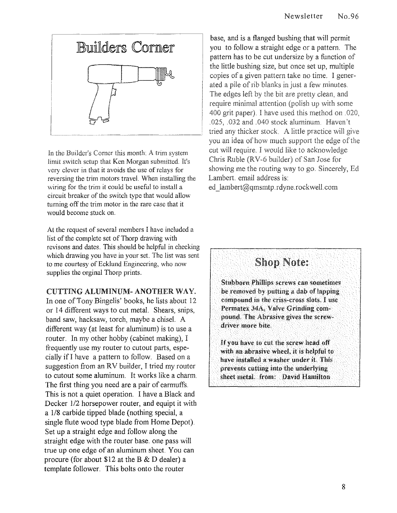

In the Builder's Corner this month: A trim system limit switch setup that Ken Morgan submitted. It's very clever in that it avoids the use of relays for reversing the trim motors travel. When installing the wiring for the trim it could be useful to install a circuit breaker of the switch type that would allow turning off the trim motor in the rare case that it would become stuck on.

At the request of several members I have included a list of the complete set of Thorp dravving with revisons and dates. This should be helpful in checking which drawing you have in your set. The list was sent to me courtesy of Ecklund Engineering, who now supplies the orginal Thorp prints.

#### CUTTING ALUMINUM- ANOTHER WAY.

In one of Tony Bingelis' books, he lists about 12 or 14 different ways to cut metal. Shears, snips, band saw, hacksaw, torch, maybe a chisel. A different way (at least for aluminum) is to use a router. In my other hobby (cabinet making),  $I$ frequently use my router to cutout parts, especially if I have a pattern to follow. Based on a suggestion from an RV builder, I tried my router to cutout some aluminum. It works like a charm. The first thing you need are a pair of earmuffs. This is not a quiet operation. I have a Black and Decker 1/2 horsepower router, and equipt it with a 1/8 carbide tipped blade (nothing special, a single flute wood type blade from Home Depot). Set up a straight edge and follow along the straight edge with the router base. one pass will true up one edge of an aluminum sheet. You can procure (for about \$12 at the B & D dealer) a template follower. This bolts onto the router

base, and is a flanged bushing that will permit you to follow a straight edge or a pattern. The pattern has to be cut undersize by a function of the little bushing size, but once set up, multiple copies of a given pattern take no time. I generated a pile of rib blanks in just a few minutes. The edges left by the bit are pretty clean, and require minimal attention (polish up with some 400 grit paper). I have used this method on .020, .025, .032 and .040 stock aluminum. Haven't tried any thicker stock. A little practice will give you an idea of how much support the edge of the cut will require. I would like to acknowledge Chris Ruble (RV-6 builder) of San Jose for showing me the routing way to go. Sincerely, Ed Lambert. email address is:

ed lambert@qmsmtp.rdyne.rockwell.com



Stubborn Phillips screws can sometimes be removed by putting a dab of lapping compound in the criss-cross slots. I use Permatex 34A, Valve Grinding compound. The Abrasive gives the screwdriver more bite.

If you have to cut the screw head off with an abrasive wheel, it is helpful to have installed a washer under it. Tbis prevents cutting into the underlying sheet metal. from: David Hamilton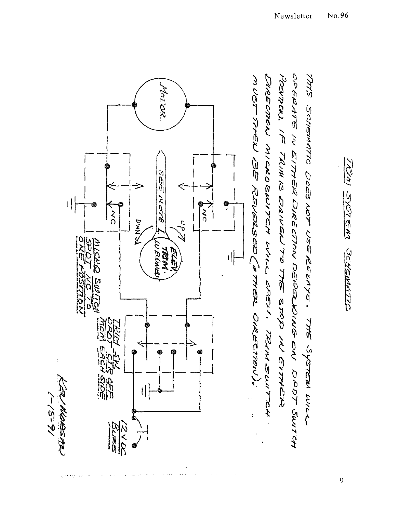

9

TRIAI SYSTEM SCHEMATIC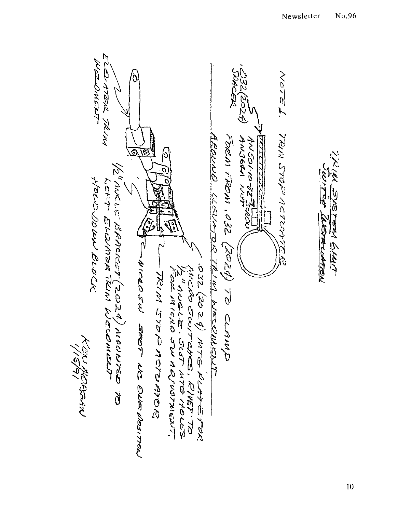WEZZNIERT EVATERA TRIMA NOTE L. Ó 24) TRIM STOFF ASSESS AROUNG ELEVATOR TRIM WELDWENT ANSOLIO-32 Function FORM FROM  $\sim$  22 (2024) 70 clamp <u> اوسوالاس المراس المراس المراسي</u>  $\odot$ Ø (b THUN SYSTEM GUYT VolinaLE BRACKET (2024) neouvres 70  $\mathcal{O}$ ن استعلا كالمصبح والمعلقين HoevDown Beock LEFT ELLIVITAR TRUN WELDINENT  $\Gamma$  $\bigotimes$ **G)** C-MICROSU SEOT NC ONENONTON 2032 (2024) MTG DLATETRA しつうかいいっこう こうりょう המשונה את הראשי הראשוני הברית אין אין<br>המשינו אין הראשי הראשוני האירי הראשוני האפיר MCHO SUITCHES, RIVET 70 اسم کر<br>مربو<del>ن برنی س</del>وعد

IO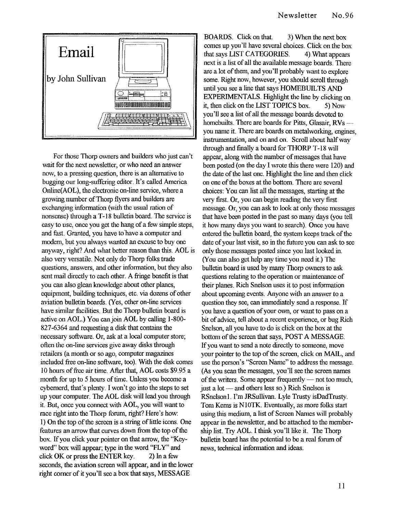

For those Thorp owners and builders who just can't wait for the next newsletter, or who need an answer now, to a pressing question, there is an alternative to bugging our long-suffering editor. It's called America Online(AOL), the electronic on-line service, where a growing number of Thorp flyers and builders are exchanging information (with the usual ration of nonsense) through a T-18 bulletin board. The service is easy to use, once you get the hang of a few simple steps, and fast. Granted, you have to have a computer and modem, but you always wanted an excuse to buy one anyway, rigbt? And what better reason than this. AOL is also very versatile. Not only do Thorp folks trade questions, answers, and other infonnation, but they also sent mail directly to each other. A fringe benefit is that you can also glean knowledge about other planes, equipment, building techniques, etc. via dozens of other aviation bulletin boards. (Yes, other on-line services have similar facilities. But the Thorp bulletin board is active on AOL.) You canjoin AOL by calling 1-800- 827-6364 and requesting a disk that contains the necessary software. Or, ask at a local computer store; often the on-line services give away disks through retailers (a month or so ago, computer magazines included free on-line software, too). With the disk comes 10 hours of free air time. After that, AOL costs \$9.95 a month for up to 5 hours of time. Unless you become a cybemerd, that's plenty. I won't go into the steps to set up your computer. The AOL disk will lead you througb it. But, once you connect with AOL, you will want to race right into the Thorp forum, right? Here's how: I) On the top of the screen is a string of little icons. One features an arrow that curves down from the top of the box. If you click your pointer on that arrow, the "Keyword" box will appear; type in the word "FLY" and click OK or press the ENTER key.  $2)$  In a few seconds, the aviation screen will appear, and in the lower rigbt comer of it you'll see a box that says, MESSAGE

BOARDS. Click on that. 3) When the next box comes up you'll have several choices. Click on the box that says LIST CATEGORIES. 4) What appears next is a list of all the available message boards. There are a lot of them, and you'll probably want to explore some. Right now, however, you should scroll through until you see a line that says HOMEBUILTS AND EXPERIMENTALS. Highlight the line by clicking on it, then click on the LIST TOPICS box. 5) Now you'll see a list of all the message boards devoted to homebuilts. There are boards for Pitts, Glasair, RVsyou name it. There are boards on metalworking, engines, instrumentation, and on and on. Scroll about half way through and finally a board for THORP T-18 will appear, along with the number of messages that have been posted (on the day I wrote this there were 120) and the date of the last one. Highligbt the line and then click on one of the boxes at the bottom. There are several choices: You can list all the messages, starting at the very first. Or, you can begin reading the very first message. Or, you can ask to look at only those messages that have been posted in the past so many days (you tell it how many days you want to search). Once you have entered the bulletin board, the system keeps track of the date of your last visit, so in the future you can ask to see only those messages posted since you last looked in. (You can also get help any time you need it.) The bulletin board is used by many Thorp owners to ask questions relating to the operation or maintenance of their planes. Rich Snelson uses it to post infonnation about upcoming events. Anyone with an answer to a question they see, can immediately send a response. If you have a question of your own, or want to pass on a bit of advice, tell about a recent experience, or bug Rich Snelson, all you have to do is click on the box at the bottom of the screen that says, POST A MESSAGE. If you want to send a note directly to someone, move your pointer to the top of the screen, click on MAIL, and use the person's "Screen Name" to address the message. (As you scan the messages, you'll see the screen names of the writers. Some appear frequently  $-$  not too much, just a lot  $-$  and others less so.) Rich Snelson is RSnelsonl. I'm JRSullivan. Lyle Trusty isDadTrusty. Tom Kerns is NIOTK. Eventually, as more folks start using this medium, a list of Screen Names will probably appear in the newsletter, and be attached to the membership list. Try AOL. I think you'll like it. The Thorp bulletin board has the potential to be a real forum of news, technical information and ideas.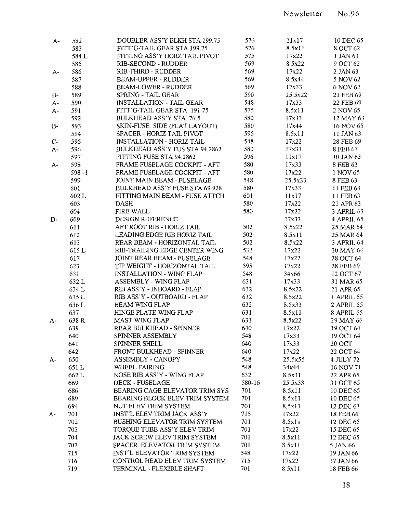| A-    | 582       | DOUBLER ASS'Y BLKH STA 199.75       | 576    | 11x17   | 10 DEC 65         |
|-------|-----------|-------------------------------------|--------|---------|-------------------|
|       | 583       | FITT'G-TAIL GEAR STA 199.75         | 576    | 8.5x11  | 8 OCT 62          |
|       | 584 L     | FITTING ASS'Y HORZ TAIL PIVOT       | 575    | 17x22   | 1 JAN 63          |
|       | 585       | <b>RIB-SECOND - RUDDER</b>          | 569    | 8.5x22  | 9 OCT 62          |
| A-    | 586       | <b>RIB-THIRD - RUDDER</b>           | 569    | 17x22   | 2 JAN 63          |
|       | 587       | <b>BEAM-UPPER - RUDDER</b>          | 569    | 8.5x44  | 5 NOV 62          |
|       | 588       | <b>BEAM-LOWER - RUDDER</b>          | 569    | 17x33   | 6 NOV 62          |
| $B-$  | 589       | SPRING - TAIL GEAR                  | 590    | 25.5x22 | 23 FEB 69         |
| $A-$  | 590       | <b>INSTALLATION - TAIL GEAR</b>     | 548    | 17x33   | 22 FEB 69         |
| $A -$ | 591       | FITT'G-TAIL GEAR STA. 191.75        | 575    | 8.5x11  | 2 NOV 65          |
|       | 592       | BULKHEAD ASS'Y STA. 76.5            | 580    | 17x33   | 12 MAY 63         |
|       | 593       | SKIN-FUSE. SIDE (FLAT LAYOUT)       | 580    | 17x44   | 16 NOV 65         |
| $B-$  | 594       | SPACER - HORIZ TAIL PIVOT           | 595    | 8.5x11  | 11 JAN 63         |
|       |           |                                     | 548    |         |                   |
| $C-$  | 595       | <b>INSTALLATION - HORIZ TAIL</b>    | 580    | 17x22   | 28 FEB 69         |
| $A -$ | 596       | BULKHEAD ASS'Y FUS STA 94.2862      |        | 17x33   | 8 FEB 63          |
|       | 597       | FITTING FUSE STA 94.2862            | 596    | 11x17   | 10 JAN 63         |
| A-    | 598       | FRAME FUSELAGE COCKPIT - AFT        | 580    | 17x33   | 8 FEB 63          |
|       | $598 - 1$ | FRAME FUSELAGE COCKPIT - AFT        | 580    | 17x22   | 1 NOV 65          |
|       | 599       | JOINT MAIN BEAM - FUSELAGE          | 548    | 25.5x33 | 8 FEB 63          |
|       | 601       | BULKHEAD ASS'Y FUSE STA 69.928      | 580    | 17x33   | 11 FEB 63         |
|       | 602L      | FITTING MAIN BEAM - FUSE ATTCH      | 601    | 11x17   | 11 FEB 63         |
|       | 603       | <b>DASH</b>                         | 580    | 17x22   | 21 APR 63         |
|       | 604       | FIRE WALL                           | 580    | 17x22   | 3 APRIL 63        |
| $D-$  | 609       | <b>DESIGN REFERENCE</b>             |        | 17x33   | 4 APRIL 65        |
|       | 611       | AFT ROOT RIB - HORIZ TAIL           | 502    | 8.5x22  | 25 MAR 64         |
|       | 612       | LEADING EDGE RIB HORIZ TAIL         | 502    | 8.5x11  | 25 MAR 64         |
|       | 613       | REAR BEAM - HORIZONTAL TAIL         | 502    | 8.5x22  | 3 APRIL 64        |
|       | 615L      | RIB-TRAILING EDGE CENTER WING       | 532    | 17x22   | 10 MAY 64         |
|       | 617       | JOINT REAR BEAM - FUSELAGE          | 548    | 17x22   | 28 OCT 64         |
|       | 623       | TIP WEIGHT - HORIZONTAL TAIL        | 595    | 17x22   | 28 FEB 69         |
|       | 631       | <b>INSTALLATION - WING FLAP</b>     | 548    | 34x66   | 12 OCT 67         |
|       | 632L      | ASSEMBLY - WING FLAP                | 631    | 17x33   | 31 MAR 65         |
|       | 634L      | RIB ASS'Y - INBOARD - FLAP          | 632    | 8.5x22  | 21 APR 65         |
|       | 635L      | RIB ASS'Y - OUTBOARD - FLAP         | 632    | 8.5x22  | <b>I APRIL 65</b> |
|       | 636L      | <b>BEAM WING FLAP</b>               | 632    | 8.5x33  | 2 APRIL 65        |
|       | 637       | HINGE PLATE WING FLAP               | 631    | 8.5x11  | 8 APRIL 65        |
| А-    | 638R      | MAST WING FLAP                      | 631    | 8.5x22  | 29 MAY 66         |
|       | 639       | REAR BULKHEAD - SPINNER             | 640    | 17x22   | 19 OCT 64         |
|       | 640       | SPINNER ASSEMBLY                    | 548    | 17x33   | 19 OCT 64         |
|       | 641       | SPINNER SHELL                       | 640    | 17x33   | 20 OCT            |
|       | 642       | FRONT BULKHEAD - SPINNER            | 640    | 17x22   | 22 OCT 64         |
| A-    | 650       | ASSEMBLY - CANOPY                   | 548    | 25.5x55 | 4 JULY 72         |
|       | 651L      | WHEEL FAIRING                       | 548    | 34x44   | 16 NOV 71         |
|       | 662L      | NOSE RIB ASS'Y - WING FLAP          | 632    | 8.5x11  | 22 APR 65         |
|       | 669       | DECK - FUSELAGE                     | 580-16 | 25.5x33 | 31 OCT 65         |
|       | 686       | BEARING CAGE ELEVATOR TRIM SYS      | 701    | 8.5x11  | 10 DEC 65         |
|       | 689       | BEARING BLOCK ELEV TRIM SYSTEM      | 701    | 8.5x11  | 10 DEC 65         |
|       | 694       | NUT ELEV TRIM SYSTEM                | 701    | 8.5x11  | 12 DEC 63         |
|       | 701       | INST'L ELEV TRIM JACK ASS'Y         | 715    | 17x22   | 18 FEB 66         |
| A-    | 702       | <b>BUSHING ELEVATOR TRIM SYSTEM</b> | 701    | 8.5x11  | 12 DEC 65         |
|       | 703       | TORQUE TUBE ASS'Y ELEV TRIM         | 701    | 17x22   | 15 DEC 65         |
|       | 704       | JACK SCREW ELEV TRIM SYSTEM         | 701    | 8.5x11  | 12 DEC 65         |
|       |           |                                     | 701    |         |                   |
|       | 707       | SPACER ELEVATOR TRIM SYSTEM         |        | 8.5x11  | 5 JAN 66          |
|       | 715       | <b>INST'L ELEVATOR TRIM SYSTEM</b>  | 548    | 17x22   | 19 JAN 66         |
|       | 716       | CONTROL HEAD ELEV TRIM SYSTEM       | 715    | 17x22   | 17 JAN 66         |
|       | 719       | TERMINAL - FLEXIBLE SHAFT           | 701    | 8.5x11  | 18 FEB 66         |

 $\sim$   $\pm$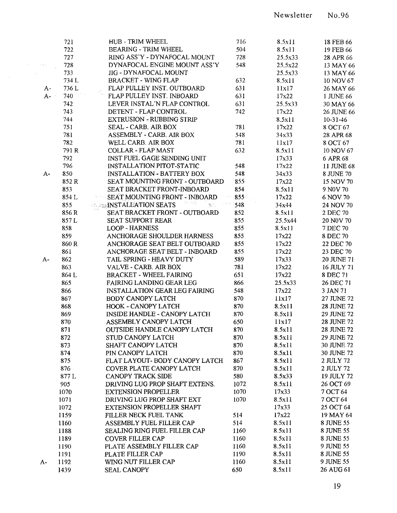|                        | 721   | <b>HUB - TRIM WHEEL</b>                                                                                                                                                                 | 716  | 8.5x11  | 18 FEB 66         |
|------------------------|-------|-----------------------------------------------------------------------------------------------------------------------------------------------------------------------------------------|------|---------|-------------------|
|                        | 722   | BEARING - TRIM WHEEL                                                                                                                                                                    | 504  | 8.5x11  | 19 FEB 66         |
|                        | 727   | RING ASS'Y - DYNAFOCAL MOUNT                                                                                                                                                            | 728  | 25.5x33 | 28 APR 66         |
| $\mathcal{F}$ is eq. ( | 728   | DYNAFOCAL ENGINE MOUNT ASS'Y                                                                                                                                                            | 548  | 25.5x22 | 13 MAY 66         |
|                        | 733   | <b>JIG - DYNAFOCAL MOUNT</b>                                                                                                                                                            |      | 25.5x33 | 13 MAY 66         |
|                        | 734 L | <b>BRACKET - WING FLAP</b>                                                                                                                                                              | 632  | 8.5x11  | 10 NOV 67         |
| $A-$                   | 736L  | FLAP PULLEY INST. OUTBOARD                                                                                                                                                              | 631  | 11x17   | 26 MAY 66         |
| $A$ - -                | 740   | FLAP PULLEY INST. INBOARD                                                                                                                                                               | 631  | 17x22   | 1 JUNE 66         |
|                        | 742   | LEVER INSTAL'N FLAP CONTROL                                                                                                                                                             | 631  | 25.5x33 | 30 MAY 66         |
|                        | 743   | DETENT - FLAP CONTROL                                                                                                                                                                   | 742  | 17x22   | 26 JUNE 66        |
|                        | 744   | <b>EXTRUSION - RUBBING STRIP</b>                                                                                                                                                        |      | 8.5x11  | $10 - 31 - 46$    |
|                        | 751   | SEAL - CARB. AIR BOX                                                                                                                                                                    | 781  | 17x22   | 8 OCT 67          |
|                        | 781   | ASSEMBLY - CARB. AIR BOX                                                                                                                                                                | 548  | 34x33   | 28 APR 68         |
|                        | 782   | WELL CARB. AIR BOX                                                                                                                                                                      | 781  | 11x17   | 8 OCT 67          |
|                        | 791 R | <b>COLLAR - FLAP MAST</b>                                                                                                                                                               | 632  | 8.5x11  | 10 NOV 67         |
|                        | 792   | INST FUEL GAGE SENDING UNIT                                                                                                                                                             |      | 17x33   | 6 APR 68          |
|                        | 796   | INSTALLATION PITOT-STATIC                                                                                                                                                               | 548  | 17x22   | 11 JUNE 68        |
| $A -$                  | 850   | <b>INSTALLATION - BATTERY BOX</b>                                                                                                                                                       | 548  | 34x33   | 8 JUNE 70         |
|                        | 852 R | <b>SEAT MOUNTING FRONT - OUTBOARD</b>                                                                                                                                                   | 855  | 17x22   | 15 NOV 70         |
|                        |       | SEAT BRACKET FRONT-INBOARD                                                                                                                                                              |      |         |                   |
|                        | 853   |                                                                                                                                                                                         | 854  | 8.5x11  | 9 NOV 70          |
|                        | 854 L | <b>SEAT MOUNTING FRONT - INBOARD</b> 855                                                                                                                                                |      | 17x22   | 6 NOV 70          |
|                        | 855   | - 1956년 - 19 <sub>30</sub> 년 - 1940년<br>대한민국의 대한민국의 대한민국의 대한민국의 대한민국의 대한민국의 대한민국의 대한민국의 대한민국의 대한민국의 대한민국의 대한민국의 대한민국의 대한민국의 대한민국의 대한민국의 대한민국의 대한민국의 대한민국의<br><b>EXAMPLE ATION SEATS</b> | 548  | 34x44   | 24 NOV 70         |
|                        | 856 R | SEAT BRACKET FRONT - OUTBOARD                                                                                                                                                           | 852  | 8.5x11  | 2 DEC 70          |
|                        | 857L  | <b>SEAT SUPPORT REAR</b>                                                                                                                                                                | 855  | 25.5x44 | 20 NOV 70         |
|                        | 858   | <b>LOOP - HARNESS</b>                                                                                                                                                                   | 855  | 8.5x11  | 7 DEC 70          |
|                        | 859   | ANCHORAGE SHOULDER HARNESS                                                                                                                                                              | 855  | 17x22   | 8 DEC 70          |
|                        | 860 R | ANCHORAGE SEAT BELT OUTBOARD                                                                                                                                                            | 855  | 17x22   | 22 DEC 70         |
|                        | 861   | ANCHORAGE SEAT BELT - INBOARD                                                                                                                                                           | 855  | 17x22   | 23 DEC 70         |
| A-                     | 862   | TAIL SPRING - HEAVY DUTY                                                                                                                                                                | 589  | 17x33   | 20 JUNE 71        |
|                        | 863   | VALVE - CARB. AIR BOX                                                                                                                                                                   | 781  | 17x22   | 16 JULY 71        |
|                        | 864 L | <b>BRACKET - WHEEL FAIRING</b>                                                                                                                                                          | 651  | 17x22   | 8 DEC 71          |
|                        | 865   | <b>FAIRING LANDING GEAR LEG</b>                                                                                                                                                         | 866  | 25.5x33 | 26 DEC 71         |
|                        | 866   | <b>INSTALLATION GEAR LEG FAIRING</b>                                                                                                                                                    | 548  | 17x22   | 3 JAN 71          |
|                        | 867   | <b>BODY CANOPY LATCH</b>                                                                                                                                                                | 870  | 11x17   | 27 JUNE 72        |
|                        | 868   | HOOK - CANOPY LATCH                                                                                                                                                                     | 870  | 8.5x11  | 28 JUNE 72        |
|                        | 869   | <b>INSIDE HANDLE - CANOPY LATCH</b>                                                                                                                                                     | 870  | 8.5x11  | 29 JUNE 72        |
|                        | 870   | ASSEMBLY CANOPY LATCH                                                                                                                                                                   | 650  | 11x17   | <b>28 JUNE 72</b> |
|                        | 871   | <b>OUTSIDE HANDLE CANOPY LATCH</b>                                                                                                                                                      | 870  | 8.5x11  | 28 JUNE 72        |
|                        | 872   | STUD CANOPY LATCH                                                                                                                                                                       | 870  | 8.5x11  | 29 JUNE 72        |
|                        | 873   | <b>SHAFT CANOPY LATCH</b>                                                                                                                                                               | 870  | 8.5x11  | 30 JUNE 72        |
|                        | 874   | PIN CANOPY LATCH                                                                                                                                                                        | 870  | 8.5x11  | 30 JUNE 72        |
|                        | 875   | FLAT LAYOUT- BODY CANOPY LATCH                                                                                                                                                          | 867  | 8.5x11  | 2 JULY 72         |
|                        | 876   | <b>COVER PLATE CANOPY LATCH</b>                                                                                                                                                         | 870  | 8.5x11  | 2 JULY 72         |
|                        | 877L  | <b>CANOPY TRACK SIDE</b>                                                                                                                                                                | 580  | 8.5x33  | 19 JULY 72        |
|                        | 905   | DRIVING LUG PROP SHAFT EXTENS.                                                                                                                                                          | 1072 | 8.5x11  | 26 OCT 69         |
|                        | 1070  | <b>EXTENSION PROPELLER</b>                                                                                                                                                              | 1070 | 17x33   | 7 OCT 64          |
|                        | 1071  | DRIVING LUG PROP SHAFT EXT                                                                                                                                                              | 1070 | 8.5x11  | 7 OCT 64          |
|                        | 1072  | <b>EXTENSION PROPELLER SHAFT</b>                                                                                                                                                        |      | 17x33   | 25 OCT 64         |
|                        | 1159  | FILLER NECK FUEL TANK                                                                                                                                                                   | 514  | 17x22   | 19 MAY 64         |
|                        | 1160  | ASSEMBLY FUEL FILLER CAP                                                                                                                                                                | 514  | 8.5x11  | 8 JUNE 55         |
|                        | 1188  | <b>SEALING RING FUEL FILLER CAP</b>                                                                                                                                                     | 1160 | 8.5x11  | 8 JUNE 55         |
|                        | 1189  | <b>COVER FILLER CAP</b>                                                                                                                                                                 | 1160 | 8.5x11  | 8 JUNE 55         |
|                        |       | PLATE ASSEMBLY FILLER CAP                                                                                                                                                               | 1160 | 8.5x11  | 9 JUNE 55         |
|                        | 1190  |                                                                                                                                                                                         |      |         |                   |
|                        | 1191  | PLATE FILLER CAP                                                                                                                                                                        | 1190 | 8.5x11  | 8 JUNE 55         |
| $A-$                   | 1192  | WING NUT FILLER CAP                                                                                                                                                                     | 1160 | 8.5x11  | 9 JUNE 55         |
|                        | 1439  | <b>SEAL CANOPY</b>                                                                                                                                                                      | 650  | 8.5x11  | 26 AUG 61         |